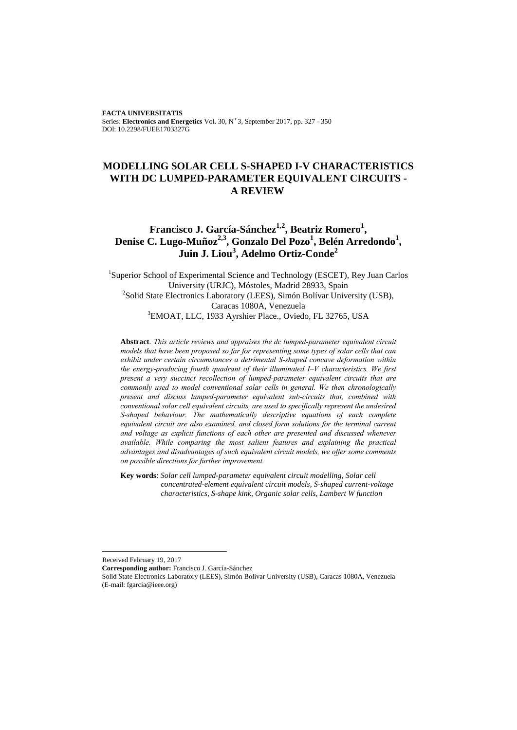**FACTA UNIVERSITATIS** Series: Electronics and Energetics Vol. 30, Nº 3, September 2017, pp. 327 - 350 DOI: 10.2298/FUEE1703327G

# **MODELLING SOLAR CELL S-SHAPED I-V CHARACTERISTICS WITH DC LUMPED-PARAMETER EQUIVALENT CIRCUITS - A REVIEW**

# **Francisco J. García-Sánchez1,2, Beatriz Romero<sup>1</sup> , Denise C. Lugo-Muñoz2,3 , Gonzalo Del Pozo<sup>1</sup> , Belén Arredondo<sup>1</sup> , Juin J. Liou<sup>3</sup> , Adelmo Ortiz-Conde<sup>2</sup>**

<sup>1</sup>Superior School of Experimental Science and Technology (ESCET), Rey Juan Carlos University (URJC), Móstoles, Madrid 28933, Spain <sup>2</sup>Solid State Electronics Laboratory (LEES), Simón Bolívar University (USB), Caracas 1080A, Venezuela <sup>3</sup>EMOAT, LLC, 1933 Ayrshier Place., Oviedo, FL 32765, USA

**Abstract**. *This article reviews and appraises the dc lumped-parameter equivalent circuit models that have been proposed so far for representing some types of solar cells that can exhibit under certain circumstances a detrimental S-shaped concave deformation within the energy-producing fourth quadrant of their illuminated I–V characteristics. We first present a very succinct recollection of lumped-parameter equivalent circuits that are commonly used to model conventional solar cells in general. We then chronologically present and discuss lumped-parameter equivalent sub-circuits that, combined with conventional solar cell equivalent circuits, are used to specifically represent the undesired S-shaped behaviour. The mathematically descriptive equations of each complete equivalent circuit are also examined, and closed form solutions for the terminal current and voltage as explicit functions of each other are presented and discussed whenever available. While comparing the most salient features and explaining the practical advantages and disadvantages of such equivalent circuit models, we offer some comments on possible directions for further improvement.*

**Key words**: *Solar cell lumped-parameter equivalent circuit modelling, Solar cell concentrated-element equivalent circuit models, S-shaped current-voltage characteristics, S-shape kink, Organic solar cells, Lambert W function*

l

Received February 19, 2017

**Corresponding author:** Francisco J. García-Sánchez

Solid State Electronics Laboratory (LEES), Simón Bolívar University (USB), Caracas 1080A, Venezuela (E-mail: fgarcia@ieee.org)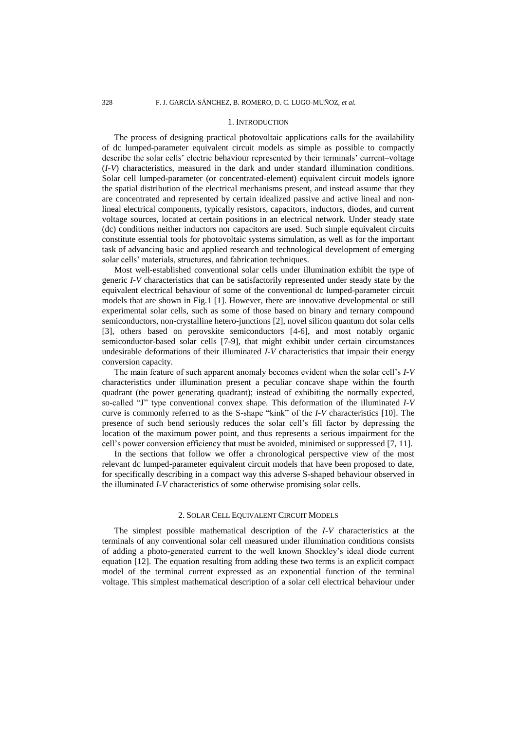#### 1. INTRODUCTION

The process of designing practical photovoltaic applications calls for the availability of dc lumped-parameter equivalent circuit models as simple as possible to compactly describe the solar cells' electric behaviour represented by their terminals' current–voltage (*I-V*) characteristics, measured in the dark and under standard illumination conditions. Solar cell lumped-parameter (or concentrated-element) equivalent circuit models ignore the spatial distribution of the electrical mechanisms present, and instead assume that they are concentrated and represented by certain idealized passive and active lineal and nonlineal electrical components, typically resistors, capacitors, inductors, diodes, and current voltage sources, located at certain positions in an electrical network. Under steady state (dc) conditions neither inductors nor capacitors are used. Such simple equivalent circuits constitute essential tools for photovoltaic systems simulation, as well as for the important task of advancing basic and applied research and technological development of emerging solar cells' materials, structures, and fabrication techniques.

Most well-established conventional solar cells under illumination exhibit the type of generic *I-V* characteristics that can be satisfactorily represented under steady state by the equivalent electrical behaviour of some of the conventional dc lumped-parameter circuit models that are shown in Fig.1 [1]. However, there are innovative developmental or still experimental solar cells, such as some of those based on binary and ternary compound semiconductors, non-crystalline hetero-junctions [2], novel silicon quantum dot solar cells [3], others based on perovskite semiconductors [4-6], and most notably organic semiconductor-based solar cells [7-9], that might exhibit under certain circumstances undesirable deformations of their illuminated *I-V* characteristics that impair their energy conversion capacity.

The main feature of such apparent anomaly becomes evident when the solar cell's *I-V* characteristics under illumination present a peculiar concave shape within the fourth quadrant (the power generating quadrant); instead of exhibiting the normally expected, so-called "J" type conventional convex shape. This deformation of the illuminated *I-V* curve is commonly referred to as the S-shape "kink" of the *I-V* characteristics [10]. The presence of such bend seriously reduces the solar cell's fill factor by depressing the location of the maximum power point, and thus represents a serious impairment for the cell's power conversion efficiency that must be avoided, minimised or suppressed [7, 11].

In the sections that follow we offer a chronological perspective view of the most relevant dc lumped-parameter equivalent circuit models that have been proposed to date, for specifically describing in a compact way this adverse S-shaped behaviour observed in the illuminated *I-V* characteristics of some otherwise promising solar cells.

## 2. SOLAR CELL EQUIVALENT CIRCUIT MODELS

The simplest possible mathematical description of the *I-V* characteristics at the terminals of any conventional solar cell measured under illumination conditions consists of adding a photo-generated current to the well known Shockley's ideal diode current equation [12]. The equation resulting from adding these two terms is an explicit compact model of the terminal current expressed as an exponential function of the terminal voltage. This simplest mathematical description of a solar cell electrical behaviour under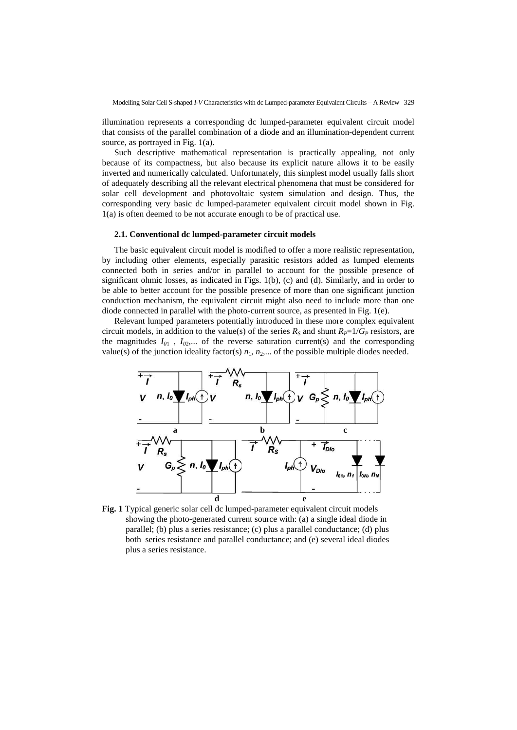illumination represents a corresponding dc lumped-parameter equivalent circuit model that consists of the parallel combination of a diode and an illumination-dependent current source, as portrayed in Fig. 1(a).

Such descriptive mathematical representation is practically appealing, not only because of its compactness, but also because its explicit nature allows it to be easily inverted and numerically calculated. Unfortunately, this simplest model usually falls short of adequately describing all the relevant electrical phenomena that must be considered for solar cell development and photovoltaic system simulation and design. Thus, the corresponding very basic dc lumped-parameter equivalent circuit model shown in Fig. 1(a) is often deemed to be not accurate enough to be of practical use.

## **2.1. Conventional dc lumped-parameter circuit models**

The basic equivalent circuit model is modified to offer a more realistic representation, by including other elements, especially parasitic resistors added as lumped elements connected both in series and/or in parallel to account for the possible presence of significant ohmic losses, as indicated in Figs. 1(b), (c) and (d). Similarly, and in order to be able to better account for the possible presence of more than one significant junction conduction mechanism, the equivalent circuit might also need to include more than one diode connected in parallel with the photo-current source, as presented in Fig. 1(e).

Relevant lumped parameters potentially introduced in these more complex equivalent circuit models, in addition to the value(s) of the series  $R<sub>S</sub>$  and shunt  $R<sub>P</sub>=1/G<sub>P</sub>$  resistors, are the magnitudes  $I_{01}$ ,  $I_{02}$ ,... of the reverse saturation current(s) and the corresponding value(s) of the junction ideality factor(s)  $n_1$ ,  $n_2$ ,... of the possible multiple diodes needed.



**Fig. 1** Typical generic solar cell dc lumped-parameter equivalent circuit models showing the photo-generated current source with: (a) a single ideal diode in parallel; (b) plus a series resistance; (c) plus a parallel conductance; (d) plus both series resistance and parallel conductance; and (e) several ideal diodes plus a series resistance.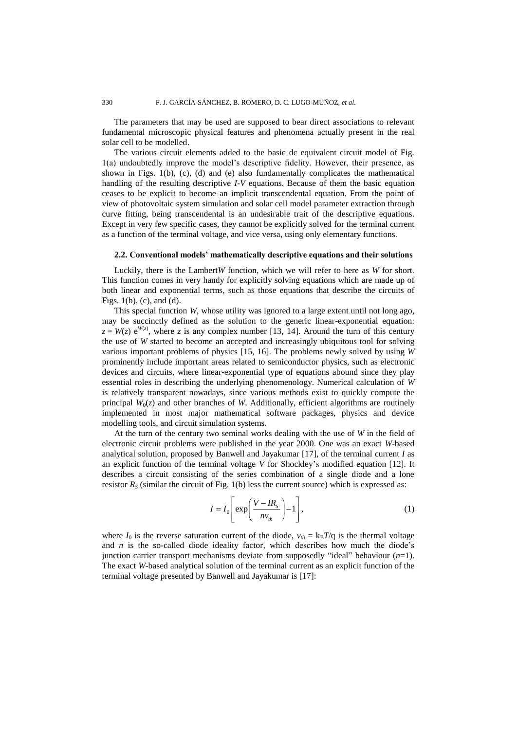The parameters that may be used are supposed to bear direct associations to relevant fundamental microscopic physical features and phenomena actually present in the real solar cell to be modelled.

The various circuit elements added to the basic dc equivalent circuit model of Fig. 1(a) undoubtedly improve the model's descriptive fidelity. However, their presence, as shown in Figs. 1(b), (c), (d) and (e) also fundamentally complicates the mathematical handling of the resulting descriptive *I-V* equations. Because of them the basic equation ceases to be explicit to become an implicit transcendental equation. From the point of view of photovoltaic system simulation and solar cell model parameter extraction through curve fitting, being transcendental is an undesirable trait of the descriptive equations. Except in very few specific cases, they cannot be explicitly solved for the terminal current as a function of the terminal voltage, and vice versa, using only elementary functions.

## **2.2. Conventional models' mathematically descriptive equations and their solutions**

Luckily, there is the Lambert*W* function, which we will refer to here as *W* for short. This function comes in very handy for explicitly solving equations which are made up of both linear and exponential terms, such as those equations that describe the circuits of Figs. 1(b), (c), and (d).

This special function *W*, whose utility was ignored to a large extent until not long ago, may be succinctly defined as the solution to the generic linear-exponential equation:  $z = W(z) e^{W(z)}$ , where *z* is any complex number [13, 14]. Around the turn of this century the use of *W* started to become an accepted and increasingly ubiquitous tool for solving various important problems of physics [15, 16]. The problems newly solved by using *W* prominently include important areas related to semiconductor physics, such as electronic devices and circuits, where linear-exponential type of equations abound since they play essential roles in describing the underlying phenomenology. Numerical calculation of *W* is relatively transparent nowadays, since various methods exist to quickly compute the principal  $W_0(z)$  and other branches of *W*. Additionally, efficient algorithms are routinely implemented in most major mathematical software packages, physics and device modelling tools, and circuit simulation systems.

At the turn of the century two seminal works dealing with the use of *W* in the field of electronic circuit problems were published in the year 2000. One was an exact *W*-based analytical solution, proposed by Banwell and Jayakumar [17], of the terminal current *I* as an explicit function of the terminal voltage *V* for Shockley's modified equation [12]. It describes a circuit consisting of the series combination of a single diode and a lone resistor  $R<sub>S</sub>$  (similar the circuit of Fig. 1(b) less the current source) which is expressed as:

$$
I = I_0 \left[ \exp\left(\frac{V - IR_s}{n v_{th}}\right) - 1 \right],
$$
 (1)

where  $I_0$  is the reverse saturation current of the diode,  $v_{th} = k_B T/q$  is the thermal voltage and  $n$  is the so-called diode ideality factor, which describes how much the diode's junction carrier transport mechanisms deviate from supposedly "ideal" behaviour (*n*=1). The exact *W*-based analytical solution of the terminal current as an explicit function of the terminal voltage presented by Banwell and Jayakumar is [17]: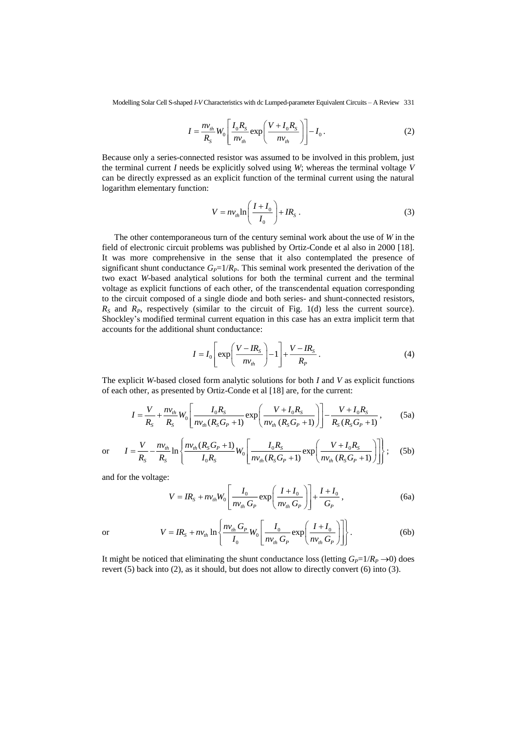Modelling Solar Cell S-shaped *I-V* Characteristics with dc Lumped-parameter Equivalent Circuits – A Review 331

$$
I = \frac{nv_{th}}{R_S} W_0 \left[ \frac{I_0 R_S}{n v_{th}} \exp\left(\frac{V + I_0 R_S}{n v_{th}}\right) \right] - I_0.
$$
 (2)

Because only a series-connected resistor was assumed to be involved in this problem, just the terminal current *I* needs be explicitly solved using *W*; whereas the terminal voltage *V* can be directly expressed as an explicit function of the terminal current using the natural logarithm elementary function:

$$
V = nv_{th} \ln \left( \frac{I + I_0}{I_0} \right) + IR_s \,. \tag{3}
$$

The other contemporaneous turn of the century seminal work about the use of *W* in the field of electronic circuit problems was published by Ortiz-Conde et al also in 2000 [18]. It was more comprehensive in the sense that it also contemplated the presence of significant shunt conductance  $G_P=1/R_P$ . This seminal work presented the derivation of the two exact *W*-based analytical solutions for both the terminal current and the terminal voltage as explicit functions of each other, of the transcendental equation corresponding to the circuit composed of a single diode and both series- and shunt-connected resistors,  $R<sub>S</sub>$  and  $R<sub>P</sub>$ , respectively (similar to the circuit of Fig. 1(d) less the current source). Shockley's modified terminal current equation in this case has an extra implicit term that accounts for the additional shunt conductance:

$$
I = I_0 \left[ \exp\left(\frac{V - IR_s}{n v_{th}}\right) - 1 \right] + \frac{V - IR_s}{R_P} \,. \tag{4}
$$

The explicit *W*-based closed form analytic solutions for both *I* and *V* as explicit functions

of each other, as presented by Ortiz-Conde et al [18] are, for the current:  
\n
$$
I = \frac{V}{R_s} + \frac{nv_{th}}{R_s}W_0 \left[ \frac{I_0 R_s}{n v_{th} (R_s G_P + 1)} \exp\left(\frac{V + I_0 R_s}{n v_{th} (R_s G_P + 1)}\right) \right] - \frac{V + I_0 R_s}{R_s (R_s G_P + 1)},
$$
\n(5a)

or 
$$
I = \frac{V}{R_S} - \frac{nv_{th}}{R_S} \ln \left\{ \frac{nv_{th}(R_S G_P + 1)}{I_0 R_S} W_0 \left[ \frac{I_0 R_S}{n v_{th}(R_S G_P + 1)} \exp \left( \frac{V + I_0 R_S}{n v_{th}(R_S G_P + 1)} \right) \right] \right\};
$$
 (5b)

and for the voltage:

$$
V = IR_{S} + nv_{th}W_{0} \left[ \frac{I_{0}}{nv_{th} G_{P}} \exp\left(\frac{I + I_{0}}{nv_{th} G_{P}}\right) \right] + \frac{I + I_{0}}{G_{P}}, \qquad (6a)
$$

or 
$$
V = IR_s + nv_{th} \ln \left\{ \frac{nv_{th} G_P}{I_0} W_0 \left[ \frac{I_0}{n v_{th} G_P} \exp \left( \frac{I + I_0}{n v_{th} G_P} \right) \right] \right\}.
$$
 (6b)

It might be noticed that eliminating the shunt conductance loss (letting  $G_P=1/R_P \rightarrow 0$ ) does revert (5) back into (2), as it should, but does not allow to directly convert (6) into (3).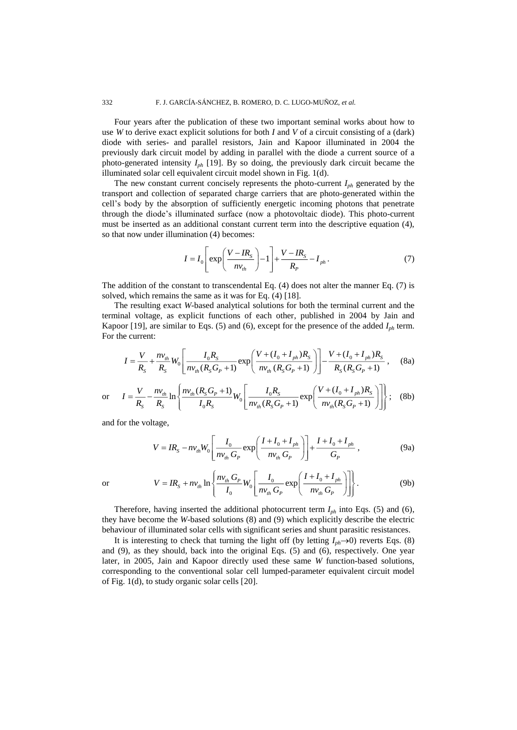Four years after the publication of these two important seminal works about how to use *W* to derive exact explicit solutions for both *I* and *V* of a circuit consisting of a (dark) diode with series- and parallel resistors, Jain and Kapoor illuminated in 2004 the previously dark circuit model by adding in parallel with the diode a current source of a photo-generated intensity *Iph* [19]. By so doing, the previously dark circuit became the illuminated solar cell equivalent circuit model shown in Fig. 1(d).

The new constant current concisely represents the photo-current *Iph* generated by the transport and collection of separated charge carriers that are photo-generated within the cell's body by the absorption of sufficiently energetic incoming photons that penetrate through the diode's illuminated surface (now a photovoltaic diode). This photo-current must be inserted as an additional constant current term into the descriptive equation (4), so that now under illumination (4) becomes:

$$
I = I_0 \left[ \exp\left(\frac{V - IR_s}{n v_{th}}\right) - 1 \right] + \frac{V - IR_s}{R_p} - I_{ph} \,. \tag{7}
$$

The addition of the constant to transcendental Eq. (4) does not alter the manner Eq. (7) is solved, which remains the same as it was for Eq. (4) [18].

The resulting exact *W*-based analytical solutions for both the terminal current and the terminal voltage, as explicit functions of each other, published in 2004 by Jain and Kapoor [19], are similar to Eqs. (5) and (6), except for the presence of the added *Iph* term. For the current:

$$
I = \frac{V}{R_S} + \frac{nv_{th}}{R_S}W_0 \left[ \frac{I_0 R_S}{n v_{th}(R_S G_P + 1)} \exp\left(\frac{V + (I_0 + I_{ph})R_S}{n v_{th}(R_S G_P + 1)}\right) \right] - \frac{V + (I_0 + I_{ph})R_S}{R_S(R_S G_P + 1)},
$$
 (8a)

or 
$$
I = \frac{V}{R_S} - \frac{nv_{th}}{R_S} \ln \left\{ \frac{nv_{th}(R_S G_P + 1)}{I_0 R_S} W_0 \left[ \frac{I_0 R_S}{n v_{th}(R_S G_P + 1)} \exp \left( \frac{V + (I_0 + I_{ph}) R_S}{n v_{th}(R_S G_P + 1)} \right) \right] \right\};
$$
 (8b)

and for the voltage,

$$
V = IR_{S} - nv_{th}W_{0} \left[ \frac{I_{0}}{nv_{th}G_{P}} \exp\left(\frac{I + I_{0} + I_{ph}}{nv_{th}G_{P}}\right) \right] + \frac{I + I_{0} + I_{ph}}{G_{P}}, \qquad (9a)
$$

or

$$
V = IR_{S} + nv_{th} \ln \left\{ \frac{nv_{th} G_{P}}{I_{0}} W_{0} \left[ \frac{I_{0}}{nv_{th} G_{P}} \exp \left( \frac{I + I_{0} + I_{ph}}{nv_{th} G_{P}} \right) \right] \right\}.
$$
 (9b)

Therefore, having inserted the additional photocurrent term *Iph* into Eqs. (5) and (6), they have become the *W*-based solutions (8) and (9) which explicitly describe the electric behaviour of illuminated solar cells with significant series and shunt parasitic resistances.

It is interesting to check that turning the light off (by letting  $I_{ph} \rightarrow 0$ ) reverts Eqs. (8) and (9), as they should, back into the original Eqs. (5) and (6), respectively. One year later, in 2005, Jain and Kapoor directly used these same *W* function-based solutions, corresponding to the conventional solar cell lumped-parameter equivalent circuit model of Fig. 1(d), to study organic solar cells [20].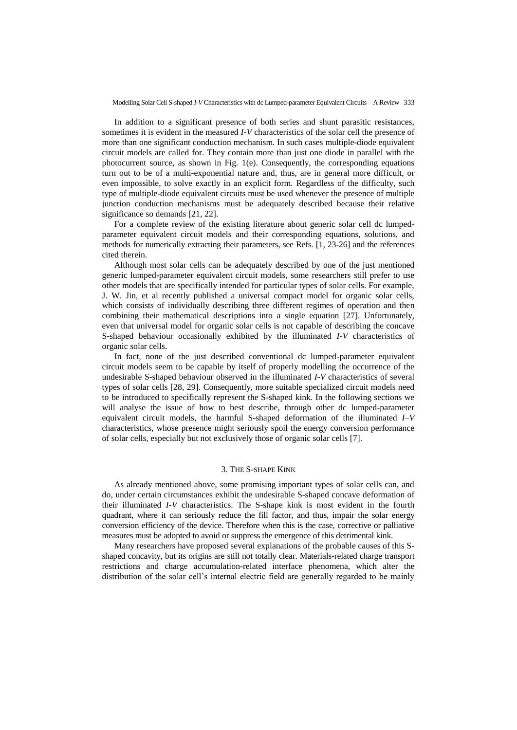In addition to a significant presence of both series and shunt parasitic resistances, sometimes it is evident in the measured *I-V* characteristics of the solar cell the presence of more than one significant conduction mechanism. In such cases multiple-diode equivalent circuit models are called for. They contain more than just one diode in parallel with the photocurrent source, as shown in Fig.  $1(e)$ . Consequently, the corresponding equations turn out to be of a multi-exponential nature and, thus, are in general more difficult, or even impossible, to solve exactly in an explicit form. Regardless of the difficulty, such type of multiple-diode equivalent circuits must be used whenever the presence of multiple junction conduction mechanisms must be adequately described because their relative significance so demands [21, 22].

For a complete review of the existing literature about generic solar cell dc lumpedparameter equivalent circuit models and their corresponding equations, solutions, and methods for numerically extracting their parameters, see Refs. [1, 23-26] and the references cited therein.

Although most solar cells can be adequately described by one of the just mentioned generic lumped-parameter equivalent circuit models, some researchers still prefer to use other models that are specifically intended for particular types of solar cells. For example, J. W. Jin, et al recently published a universal compact model for organic solar cells, which consists of individually describing three different regimes of operation and then combining their mathematical descriptions into a single equation [27]. Unfortunately, even that universal model for organic solar cells is not capable of describing the concave S-shaped behaviour occasionally exhibited by the illuminated *I-V* characteristics of organic solar cells.

In fact, none of the just described conventional dc lumped-parameter equivalent circuit models seem to be capable by itself of properly modelling the occurrence of the undesirable S-shaped behaviour observed in the illuminated *I-V* characteristics of several types of solar cells [28, 29]. Consequently, more suitable specialized circuit models need to be introduced to specifically represent the S-shaped kink. In the following sections we will analyse the issue of how to best describe, through other dc lumped-parameter equivalent circuit models, the harmful S-shaped deformation of the illuminated *I–V* characteristics, whose presence might seriously spoil the energy conversion performance of solar cells, especially but not exclusively those of organic solar cells [7].

## 3. THE S-SHAPE KINK

As already mentioned above, some promising important types of solar cells can, and do, under certain circumstances exhibit the undesirable S-shaped concave deformation of their illuminated *I-V* characteristics. The S-shape kink is most evident in the fourth quadrant, where it can seriously reduce the fill factor, and thus, impair the solar energy conversion efficiency of the device. Therefore when this is the case, corrective or palliative measures must be adopted to avoid or suppress the emergence of this detrimental kink.

Many researchers have proposed several explanations of the probable causes of this Sshaped concavity, but its origins are still not totally clear. Materials-related charge transport restrictions and charge accumulation-related interface phenomena, which alter the distribution of the solar cell's internal electric field are generally regarded to be mainly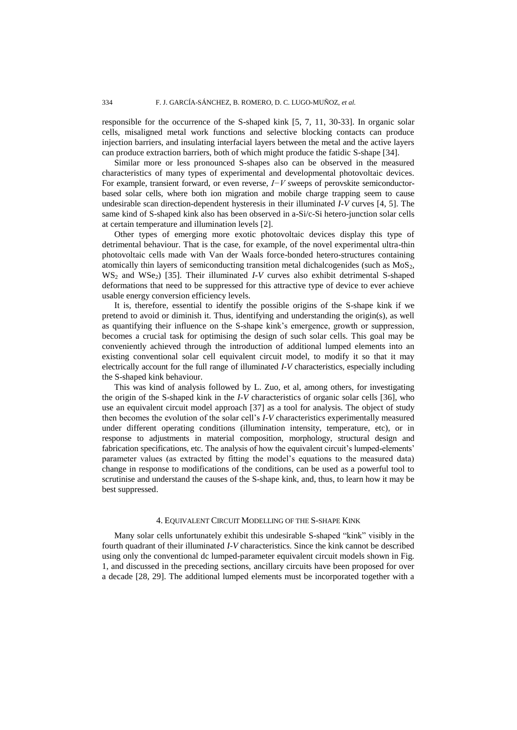responsible for the occurrence of the S-shaped kink [5, 7, 11, 30-33]. In organic solar cells, misaligned metal work functions and selective blocking contacts can produce injection barriers, and insulating interfacial layers between the metal and the active layers can produce extraction barriers, both of which might produce the fatidic S-shape [34].

Similar more or less pronounced S-shapes also can be observed in the measured characteristics of many types of experimental and developmental photovoltaic devices. For example, transient forward, or even reverse, *I−V* sweeps of perovskite semiconductorbased solar cells, where both ion migration and mobile charge trapping seem to cause undesirable scan direction-dependent hysteresis in their illuminated *I-V* curves [4, 5]. The same kind of S-shaped kink also has been observed in a-Si/c-Si hetero-junction solar cells at certain temperature and illumination levels [2].

Other types of emerging more exotic photovoltaic devices display this type of detrimental behaviour. That is the case, for example, of the novel experimental ultra-thin photovoltaic cells made with Van der Waals force-bonded hetero-structures containing atomically thin layers of semiconducting transition metal dichalcogenides (such as  $MoS<sub>2</sub>$ , WS<sub>2</sub> and WSe<sub>2</sub>) [35]. Their illuminated *I-V* curves also exhibit detrimental S-shaped deformations that need to be suppressed for this attractive type of device to ever achieve usable energy conversion efficiency levels.

It is, therefore, essential to identify the possible origins of the S-shape kink if we pretend to avoid or diminish it. Thus, identifying and understanding the origin(s), as well as quantifying their influence on the S-shape kink's emergence, growth or suppression, becomes a crucial task for optimising the design of such solar cells. This goal may be conveniently achieved through the introduction of additional lumped elements into an existing conventional solar cell equivalent circuit model, to modify it so that it may electrically account for the full range of illuminated *I-V* characteristics, especially including the S-shaped kink behaviour.

This was kind of analysis followed by L. Zuo, et al, among others, for investigating the origin of the S-shaped kink in the *I-V* characteristics of organic solar cells [36], who use an equivalent circuit model approach [37] as a tool for analysis. The object of study then becomes the evolution of the solar cell's *I-V* characteristics experimentally measured under different operating conditions (illumination intensity, temperature, etc), or in response to adjustments in material composition, morphology, structural design and fabrication specifications, etc. The analysis of how the equivalent circuit's lumped-elements' parameter values (as extracted by fitting the model's equations to the measured data) change in response to modifications of the conditions, can be used as a powerful tool to scrutinise and understand the causes of the S-shape kink, and, thus, to learn how it may be best suppressed.

## 4. EQUIVALENT CIRCUIT MODELLING OF THE S-SHAPE KINK

Many solar cells unfortunately exhibit this undesirable S-shaped "kink" visibly in the fourth quadrant of their illuminated *I-V* characteristics. Since the kink cannot be described using only the conventional dc lumped-parameter equivalent circuit models shown in Fig. 1, and discussed in the preceding sections, ancillary circuits have been proposed for over a decade [28, 29]. The additional lumped elements must be incorporated together with a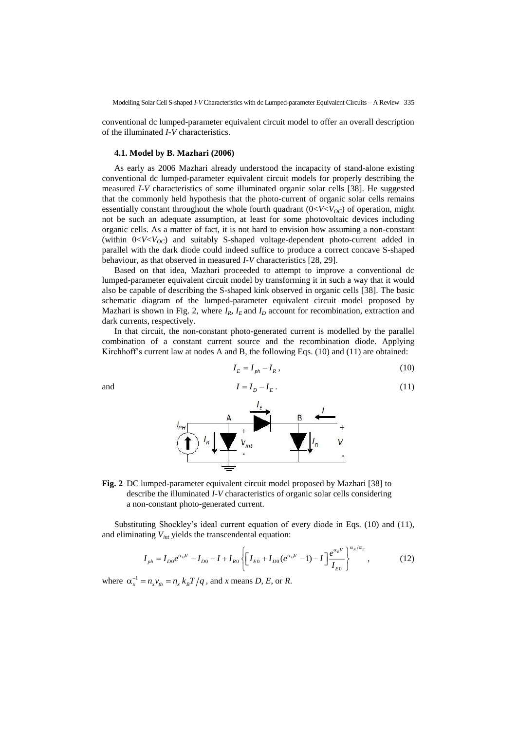Modelling Solar Cell S-shaped *I-V* Characteristics with dc Lumped-parameter Equivalent Circuits – A Review 335

conventional dc lumped-parameter equivalent circuit model to offer an overall description of the illuminated *I-V* characteristics.

## **4.1. Model by B. Mazhari (2006)**

As early as 2006 Mazhari already understood the incapacity of stand-alone existing conventional dc lumped-parameter equivalent circuit models for properly describing the measured *I-V* characteristics of some illuminated organic solar cells [38]. He suggested that the commonly held hypothesis that the photo-current of organic solar cells remains essentially constant throughout the whole fourth quadrant  $(0 < V < V<sub>OC</sub>)$  of operation, might not be such an adequate assumption, at least for some photovoltaic devices including organic cells. As a matter of fact, it is not hard to envision how assuming a non-constant (within  $0 < V < V<sub>OC</sub>$ ) and suitably S-shaped voltage-dependent photo-current added in parallel with the dark diode could indeed suffice to produce a correct concave S-shaped behaviour, as that observed in measured *I-V* characteristics [28, 29].

Based on that idea, Mazhari proceeded to attempt to improve a conventional dc lumped-parameter equivalent circuit model by transforming it in such a way that it would also be capable of describing the S-shaped kink observed in organic cells [38]. The basic schematic diagram of the lumped-parameter equivalent circuit model proposed by Mazhari is shown in Fig. 2, where  $I_R$ ,  $I_E$  and  $I_D$  account for recombination, extraction and dark currents, respectively.

In that circuit, the non-constant photo-generated current is modelled by the parallel combination of a constant current source and the recombination diode. Applying Kirchhoff's current law at nodes A and B, the following Eqs. (10) and (11) are obtained:

$$
I_E = I_{ph} - I_R, \qquad (10)
$$

and

$$
I = I_D - I_E. \tag{11}
$$



**Fig. 2** DC lumped-parameter equivalent circuit model proposed by Mazhari [38] to describe the illuminated *I-V* characteristics of organic solar cells considering a non-constant photo-generated current.

Substituting Shockley's ideal current equation of every diode in Eqs. (10) and (11), and eliminating *Vint* yields the transcendental equation:

$$
I_{ph} = I_{D0}e^{\alpha_D V} - I_{D0} - I + I_{R0} \left\{ \left[ I_{E0} + I_{D0}(e^{\alpha_D V} - 1) - I \right] \frac{e^{\alpha_E V}}{I_{E0}} \right\}^{\alpha_R/\alpha_E},
$$
(12)

where  $\alpha_x^{-1} = n_x v_{th} = n_x k_B T / q$ , and *x* means *D*, *E*, or *R*.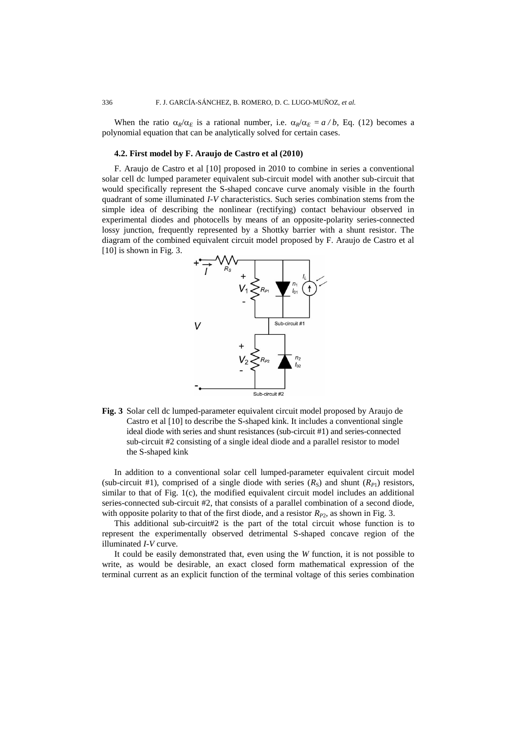When the ratio  $\alpha_R/\alpha_E$  is a rational number, i.e.  $\alpha_R/\alpha_E = a/b$ , Eq. (12) becomes a polynomial equation that can be analytically solved for certain cases.

## **4.2. First model by F. Araujo de Castro et al (2010)**

F. Araujo de Castro et al [10] proposed in 2010 to combine in series a conventional solar cell dc lumped parameter equivalent sub-circuit model with another sub-circuit that would specifically represent the S-shaped concave curve anomaly visible in the fourth quadrant of some illuminated *I-V* characteristics. Such series combination stems from the simple idea of describing the nonlinear (rectifying) contact behaviour observed in experimental diodes and photocells by means of an opposite-polarity series-connected lossy junction, frequently represented by a Shottky barrier with a shunt resistor. The diagram of the combined equivalent circuit model proposed by F. Araujo de Castro et al [10] is shown in Fig. 3.



**Fig. 3** Solar cell dc lumped-parameter equivalent circuit model proposed by Araujo de Castro et al [10] to describe the S-shaped kink. It includes a conventional single ideal diode with series and shunt resistances (sub-circuit #1) and series-connected sub-circuit #2 consisting of a single ideal diode and a parallel resistor to model the S-shaped kink

In addition to a conventional solar cell lumped-parameter equivalent circuit model (sub-circuit #1), comprised of a single diode with series  $(R<sub>S</sub>)$  and shunt  $(R<sub>P1</sub>)$  resistors, similar to that of Fig. 1(c), the modified equivalent circuit model includes an additional series-connected sub-circuit #2, that consists of a parallel combination of a second diode, with opposite polarity to that of the first diode, and a resistor  $R_{P2}$ , as shown in Fig. 3.

This additional sub-circuit#2 is the part of the total circuit whose function is to represent the experimentally observed detrimental S-shaped concave region of the illuminated *I-V* curve.

It could be easily demonstrated that, even using the *W* function, it is not possible to write, as would be desirable, an exact closed form mathematical expression of the terminal current as an explicit function of the terminal voltage of this series combination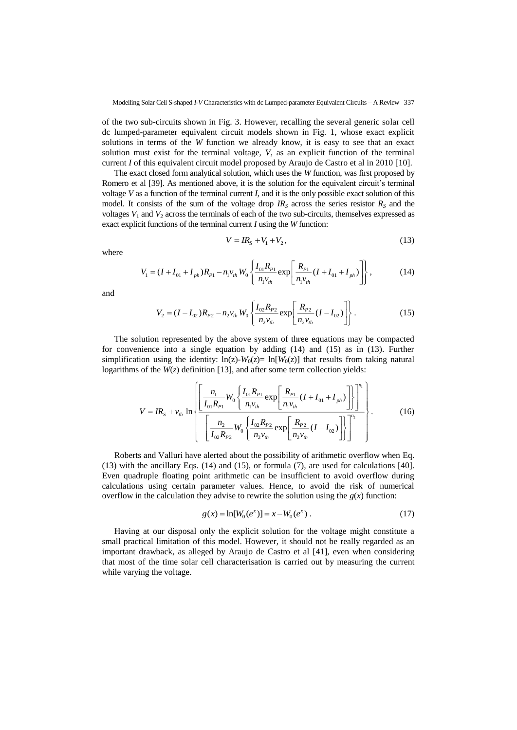of the two sub-circuits shown in Fig. 3. However, recalling the several generic solar cell dc lumped-parameter equivalent circuit models shown in Fig. 1, whose exact explicit solutions in terms of the *W* function we already know, it is easy to see that an exact solution must exist for the terminal voltage, *V*, as an explicit function of the terminal current *I* of this equivalent circuit model proposed by Araujo de Castro et al in 2010 [10].

The exact closed form analytical solution, which uses the *W* function, was first proposed by Romero et al [39]. As mentioned above, it is the solution for the equivalent circuit's terminal voltage *V* as a function of the terminal current *I*, and it is the only possible exact solution of this model. It consists of the sum of the voltage drop  $IR<sub>S</sub>$  across the series resistor  $R<sub>S</sub>$  and the voltages  $V_1$  and  $V_2$  across the terminals of each of the two sub-circuits, themselves expressed as exact explicit functions of the terminal current *I* using the *W* function:

$$
V = IR_s + V_1 + V_2, \t\t(13)
$$

where

$$
V_1 = (I + I_{01} + I_{ph})R_{P1} - n_1 v_{th} W_0 \left\{ \frac{I_{01} R_{P1}}{n_1 v_{th}} \exp\left[\frac{R_{P1}}{n_1 v_{th}} (I + I_{01} + I_{ph})\right] \right\},
$$
(14)

and

$$
V_2 = (I - I_{02})R_{P2} - n_2 v_{th} W_0 \left\{ \frac{I_{02} R_{P2}}{n_2 v_{th}} \exp\left[\frac{R_{P2}}{n_2 v_{th}} (I - I_{02})\right] \right\}.
$$
 (15)

The solution represented by the above system of three equations may be compacted for convenience into a single equation by adding (14) and (15) as in (13). Further simplification using the identity:  $\ln(z) - W_0(z) = \ln[W_0(z)]$  that results from taking natural logarithms of the *W*(*z*) definition [13], and after some term collection yields:

$$
V = IR_{s} + v_{th} \ln \left\{ \frac{\left[ \frac{n_{1}}{I_{01}R_{p_{1}}}W_{0} \left\{ \frac{I_{01}R_{p_{1}}}{n_{1}v_{th}} \exp\left[ \frac{R_{p_{1}}}{n_{1}v_{th}}(I + I_{01} + I_{ph}) \right] \right\} \right]^{n_{1}}}{\left[ \frac{n_{2}}{I_{02}R_{p_{2}}}W_{0} \left\{ \frac{I_{02}R_{p_{2}}}{n_{2}v_{th}} \exp\left[ \frac{R_{p_{2}}}{n_{2}v_{th}}(I - I_{02}) \right] \right\} \right]^{n_{2}}}
$$
(16)

Roberts and Valluri have alerted about the possibility of arithmetic overflow when Eq. (13) with the ancillary Eqs. (14) and (15), or formula (7), are used for calculations [40]. Even quadruple floating point arithmetic can be insufficient to avoid overflow during calculations using certain parameter values. Hence, to avoid the risk of numerical overflow in the calculation they advise to rewrite the solution using the  $g(x)$  function:

$$
g(x) = \ln[W_0(e^x)] = x - W_0(e^x) . \tag{17}
$$

Having at our disposal only the explicit solution for the voltage might constitute a small practical limitation of this model. However, it should not be really regarded as an important drawback, as alleged by Araujo de Castro et al [41], even when considering that most of the time solar cell characterisation is carried out by measuring the current while varying the voltage.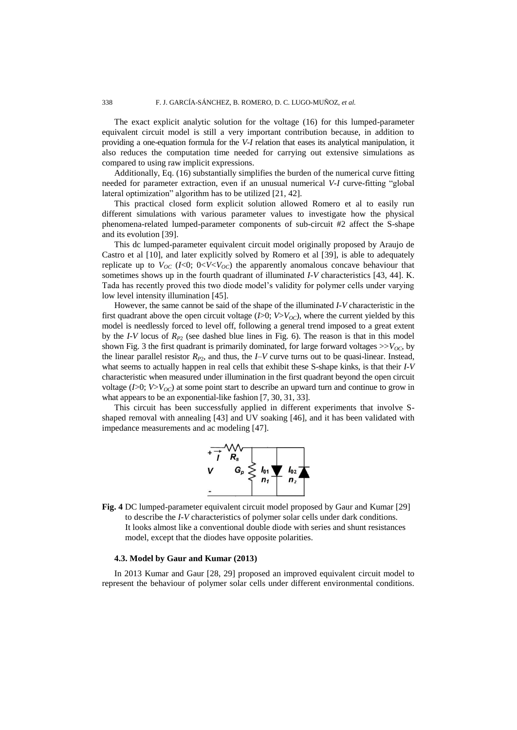The exact explicit analytic solution for the voltage (16) for this lumped-parameter equivalent circuit model is still a very important contribution because, in addition to providing a one-equation formula for the *V-I* relation that eases its analytical manipulation, it also reduces the computation time needed for carrying out extensive simulations as compared to using raw implicit expressions.

Additionally, Eq. (16) substantially simplifies the burden of the numerical curve fitting needed for parameter extraction, even if an unusual numerical *V-I* curve-fitting "global lateral optimization" algorithm has to be utilized [21, 42].

This practical closed form explicit solution allowed Romero et al to easily run different simulations with various parameter values to investigate how the physical phenomena-related lumped-parameter components of sub-circuit #2 affect the S-shape and its evolution [39].

This dc lumped-parameter equivalent circuit model originally proposed by Araujo de Castro et al [10], and later explicitly solved by Romero et al [39], is able to adequately replicate up to  $V_{OC}$  (*I*<0; 0<*V*<*V<sub>OC</sub>*) the apparently anomalous concave behaviour that sometimes shows up in the fourth quadrant of illuminated *I-V* characteristics [43, 44]. K. Tada has recently proved this two diode model's validity for polymer cells under varying low level intensity illumination [45].

However, the same cannot be said of the shape of the illuminated *I-V* characteristic in the first quadrant above the open circuit voltage  $(I>0; V>V<sub>OC</sub>)$ , where the current yielded by this model is needlessly forced to level off, following a general trend imposed to a great extent by the *I-V* locus of *RP*<sup>2</sup> (see dashed blue lines in Fig. 6). The reason is that in this model shown Fig. 3 the first quadrant is primarily dominated, for large forward voltages  $>>V_{OC}$ , by the linear parallel resistor  $R_{P2}$ , and thus, the *I–V* curve turns out to be quasi-linear. Instead, what seems to actually happen in real cells that exhibit these S-shape kinks, is that their *I-V* characteristic when measured under illumination in the first quadrant beyond the open circuit voltage ( $I > 0$ ;  $V > V_{OC}$ ) at some point start to describe an upward turn and continue to grow in what appears to be an exponential-like fashion [7, 30, 31, 33].

This circuit has been successfully applied in different experiments that involve Sshaped removal with annealing [43] and UV soaking [46], and it has been validated with impedance measurements and ac modeling [47].



**Fig. 4** DC lumped-parameter equivalent circuit model proposed by Gaur and Kumar [29] to describe the *I-V* characteristics of polymer solar cells under dark conditions. It looks almost like a conventional double diode with series and shunt resistances model, except that the diodes have opposite polarities.

## **4.3. Model by Gaur and Kumar (2013)**

In 2013 Kumar and Gaur [28, 29] proposed an improved equivalent circuit model to represent the behaviour of polymer solar cells under different environmental conditions.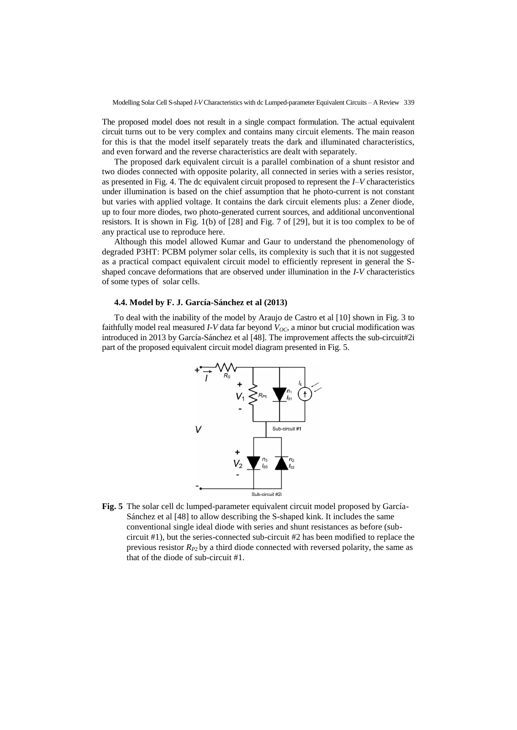The proposed model does not result in a single compact formulation. The actual equivalent circuit turns out to be very complex and contains many circuit elements. The main reason for this is that the model itself separately treats the dark and illuminated characteristics, and even forward and the reverse characteristics are dealt with separately.

The proposed dark equivalent circuit is a parallel combination of a shunt resistor and two diodes connected with opposite polarity, all connected in series with a series resistor, as presented in Fig. 4. The dc equivalent circuit proposed to represent the *I–V* characteristics under illumination is based on the chief assumption that he photo-current is not constant but varies with applied voltage. It contains the dark circuit elements plus: a Zener diode, up to four more diodes, two photo-generated current sources, and additional unconventional resistors. It is shown in Fig. 1(b) of [28] and Fig. 7 of [29], but it is too complex to be of any practical use to reproduce here.

Although this model allowed Kumar and Gaur to understand the phenomenology of degraded P3HT: PCBM polymer solar cells, its complexity is such that it is not suggested as a practical compact equivalent circuit model to efficiently represent in general the Sshaped concave deformations that are observed under illumination in the *I-V* characteristics of some types of solar cells.

# **4.4. Model by F. J. García-Sánchez et al (2013)**

To deal with the inability of the model by Araujo de Castro et al [10] shown in Fig. 3 to faithfully model real measured *I-V* data far beyond *VOC*, a minor but crucial modification was introduced in 2013 by García-Sánchez et al [48]. The improvement affects the sub-circuit#2i part of the proposed equivalent circuit model diagram presented in Fig. 5.



**Fig. 5** The solar cell dc lumped-parameter equivalent circuit model proposed by García-Sánchez et al [48] to allow describing the S-shaped kink. It includes the same conventional single ideal diode with series and shunt resistances as before (subcircuit #1), but the series-connected sub-circuit #2 has been modified to replace the previous resistor  $R_{P2}$  by a third diode connected with reversed polarity, the same as that of the diode of sub-circuit #1.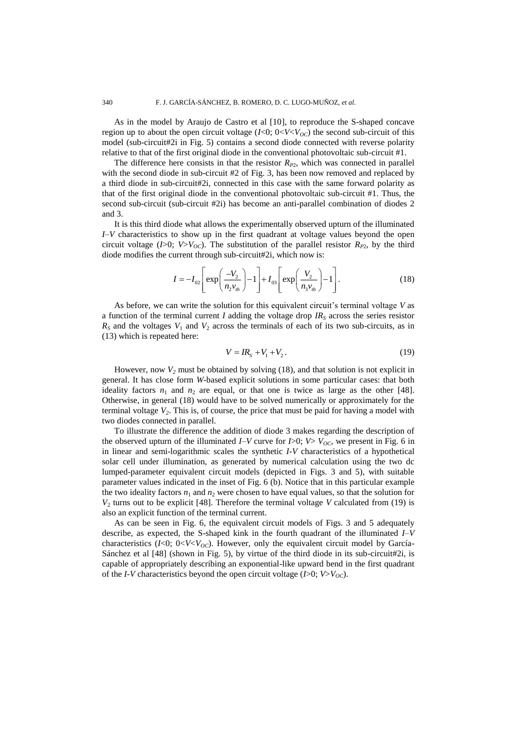As in the model by Araujo de Castro et al [10], to reproduce the S-shaped concave region up to about the open circuit voltage  $(I<0; 0 < V < V<sub>OC</sub>)$  the second sub-circuit of this model (sub-circuit#2i in Fig. 5) contains a second diode connected with reverse polarity relative to that of the first original diode in the conventional photovoltaic sub-circuit #1.

The difference here consists in that the resistor  $R_{P2}$ , which was connected in parallel with the second diode in sub-circuit #2 of Fig. 3, has been now removed and replaced by a third diode in sub-circuit#2i, connected in this case with the same forward polarity as that of the first original diode in the conventional photovoltaic sub-circuit #1. Thus, the second sub-circuit (sub-circuit #2i) has become an anti-parallel combination of diodes 2 and 3.

It is this third diode what allows the experimentally observed upturn of the illuminated *I–V* characteristics to show up in the first quadrant at voltage values beyond the open circuit voltage ( $I>0$ ;  $V>V<sub>OC</sub>$ ). The substitution of the parallel resistor  $R<sub>P2</sub>$ , by the third diode modifies the current through sub-circuit#2i, which now is:

$$
I = -I_{02} \left[ \exp\left(\frac{-V_2}{n_2 v_{th}}\right) - 1 \right] + I_{03} \left[ \exp\left(\frac{V_2}{n_3 v_{th}}\right) - 1 \right].
$$
 (18)

As before, we can write the solution for this equivalent circuit's terminal voltage *V* as a function of the terminal current *I* adding the voltage drop *IR<sup>S</sup>* across the series resistor  $R<sub>S</sub>$  and the voltages  $V<sub>1</sub>$  and  $V<sub>2</sub>$  across the terminals of each of its two sub-circuits, as in (13) which is repeated here:

$$
V = IR_s + V_1 + V_2.
$$
 (19)

However, now  $V_2$  must be obtained by solving (18), and that solution is not explicit in general. It has close form *W*-based explicit solutions in some particular cases: that both ideality factors  $n_1$  and  $n_2$  are equal, or that one is twice as large as the other [48]. Otherwise, in general (18) would have to be solved numerically or approximately for the terminal voltage  $V_2$ . This is, of course, the price that must be paid for having a model with two diodes connected in parallel.

To illustrate the difference the addition of diode 3 makes regarding the description of the observed upturn of the illuminated *I–V* curve for *I*>0; *V*> *V*<sub>OC</sub>, we present in Fig. 6 in in linear and semi-logarithmic scales the synthetic *I-V* characteristics of a hypothetical solar cell under illumination, as generated by numerical calculation using the two dc lumped-parameter equivalent circuit models (depicted in Figs. 3 and 5), with suitable parameter values indicated in the inset of Fig. 6 (b). Notice that in this particular example the two ideality factors  $n_1$  and  $n_2$  were chosen to have equal values, so that the solution for  $V_2$  turns out to be explicit [48]. Therefore the terminal voltage *V* calculated from (19) is also an explicit function of the terminal current.

As can be seen in Fig. 6, the equivalent circuit models of Figs. 3 and 5 adequately describe, as expected, the S-shaped kink in the fourth quadrant of the illuminated *I–V* characteristics ( $I<0$ ;  $0< V< V<sub>OC</sub>$ ). However, only the equivalent circuit model by García-Sánchez et al [48] (shown in Fig. 5), by virtue of the third diode in its sub-circuit#2i, is capable of appropriately describing an exponential-like upward bend in the first quadrant of the *I-V* characteristics beyond the open circuit voltage ( $I > 0$ ;  $V > V_{OC}$ ).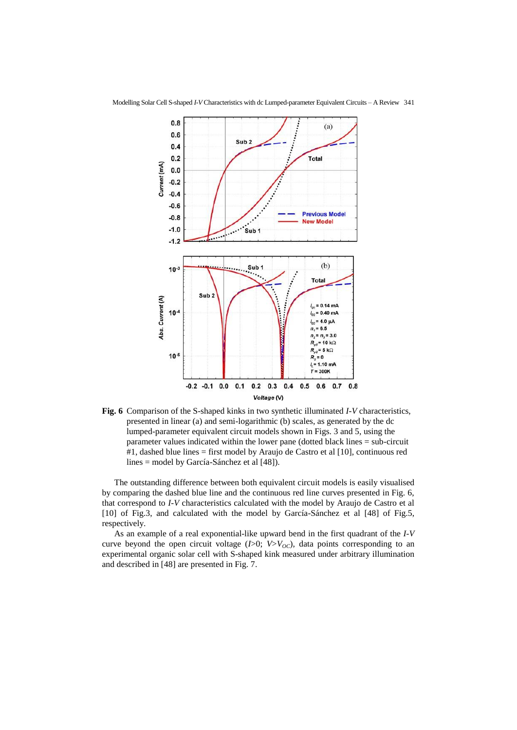

**Fig. 6** Comparison of the S-shaped kinks in two synthetic illuminated *I-V* characteristics, presented in linear (a) and semi-logarithmic (b) scales, as generated by the dc lumped-parameter equivalent circuit models shown in Figs. 3 and 5, using the parameter values indicated within the lower pane (dotted black lines = sub-circuit #1, dashed blue lines = first model by Araujo de Castro et al [10], continuous red lines = model by García-Sánchez et al [48]).

The outstanding difference between both equivalent circuit models is easily visualised by comparing the dashed blue line and the continuous red line curves presented in Fig. 6, that correspond to *I-V* characteristics calculated with the model by Araujo de Castro et al [10] of Fig.3, and calculated with the model by García-Sánchez et al [48] of Fig.5, respectively.

As an example of a real exponential-like upward bend in the first quadrant of the *I-V* curve beyond the open circuit voltage  $(I>0; V>V<sub>OC</sub>)$ , data points corresponding to an experimental organic solar cell with S-shaped kink measured under arbitrary illumination and described in [48] are presented in Fig. 7.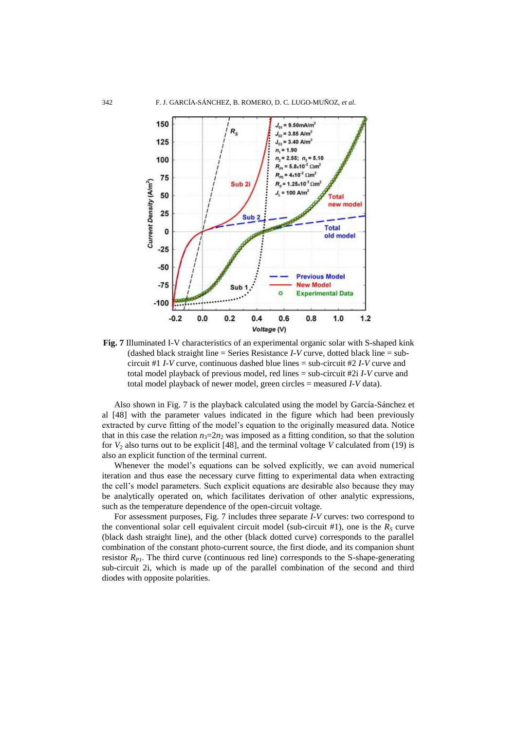

**Fig. 7** Illuminated I-V characteristics of an experimental organic solar with S-shaped kink (dashed black straight line = Series Resistance *I-V* curve, dotted black line = subcircuit #1 *I-V* curve, continuous dashed blue lines = sub-circuit #2 *I-V* curve and total model playback of previous model, red lines = sub-circuit #2i *I-V* curve and total model playback of newer model, green circles = measured *I-V* data).

Also shown in Fig. 7 is the playback calculated using the model by García-Sánchez et al [48] with the parameter values indicated in the figure which had been previously extracted by curve fitting of the model's equation to the originally measured data. Notice that in this case the relation  $n_3=2n_2$  was imposed as a fitting condition, so that the solution for  $V_2$  also turns out to be explicit [48], and the terminal voltage *V* calculated from (19) is also an explicit function of the terminal current.

Whenever the model's equations can be solved explicitly, we can avoid numerical iteration and thus ease the necessary curve fitting to experimental data when extracting the cell's model parameters. Such explicit equations are desirable also because they may be analytically operated on, which facilitates derivation of other analytic expressions, such as the temperature dependence of the open-circuit voltage.

For assessment purposes, Fig. 7 includes three separate *I-V* curves: two correspond to the conventional solar cell equivalent circuit model (sub-circuit #1), one is the  $R_s$  curve (black dash straight line), and the other (black dotted curve) corresponds to the parallel combination of the constant photo-current source, the first diode, and its companion shunt resistor  $R_{PI}$ . The third curve (continuous red line) corresponds to the S-shape-generating sub-circuit 2i, which is made up of the parallel combination of the second and third diodes with opposite polarities.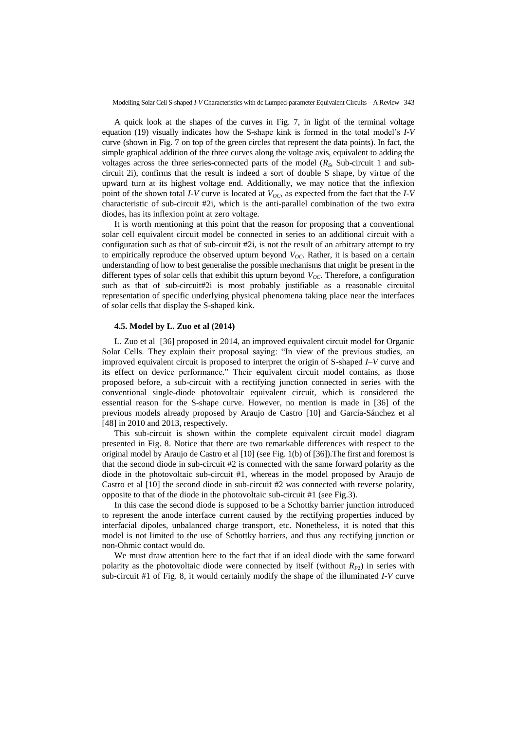A quick look at the shapes of the curves in Fig. 7, in light of the terminal voltage equation (19) visually indicates how the S-shape kink is formed in the total model's *I-V* curve (shown in Fig. 7 on top of the green circles that represent the data points). In fact, the simple graphical addition of the three curves along the voltage axis, equivalent to adding the voltages across the three series-connected parts of the model  $(R<sub>S</sub>,$  Sub-circuit 1 and subcircuit 2i), confirms that the result is indeed a sort of double S shape, by virtue of the upward turn at its highest voltage end. Additionally, we may notice that the inflexion point of the shown total *I-V* curve is located at  $V_{OC}$ , as expected from the fact that the *I-V* characteristic of sub-circuit #2i, which is the anti-parallel combination of the two extra diodes, has its inflexion point at zero voltage.

It is worth mentioning at this point that the reason for proposing that a conventional solar cell equivalent circuit model be connected in series to an additional circuit with a configuration such as that of sub-circuit  $#2i$ , is not the result of an arbitrary attempt to try to empirically reproduce the observed upturn beyond  $V_{OC}$ . Rather, it is based on a certain understanding of how to best generalise the possible mechanisms that might be present in the different types of solar cells that exhibit this upturn beyond *VOC*. Therefore, a configuration such as that of sub-circuit#2i is most probably justifiable as a reasonable circuital representation of specific underlying physical phenomena taking place near the interfaces of solar cells that display the S-shaped kink.

## **4.5. Model by L. Zuo et al (2014)**

L. Zuo et al [36] proposed in 2014, an improved equivalent circuit model for Organic Solar Cells. They explain their proposal saying: "In view of the previous studies, an improved equivalent circuit is proposed to interpret the origin of S-shaped *I–V* curve and its effect on device performance." Their equivalent circuit model contains, as those proposed before, a sub-circuit with a rectifying junction connected in series with the conventional single-diode photovoltaic equivalent circuit, which is considered the essential reason for the S-shape curve. However, no mention is made in [36] of the previous models already proposed by Araujo de Castro [10] and García-Sánchez et al [48] in 2010 and 2013, respectively.

This sub-circuit is shown within the complete equivalent circuit model diagram presented in Fig. 8. Notice that there are two remarkable differences with respect to the original model by Araujo de Castro et al [10] (see Fig. 1(b) of [36]).The first and foremost is that the second diode in sub-circuit #2 is connected with the same forward polarity as the diode in the photovoltaic sub-circuit #1, whereas in the model proposed by Araujo de Castro et al [10] the second diode in sub-circuit #2 was connected with reverse polarity, opposite to that of the diode in the photovoltaic sub-circuit #1 (see Fig.3).

In this case the second diode is supposed to be a Schottky barrier junction introduced to represent the anode interface current caused by the rectifying properties induced by interfacial dipoles, unbalanced charge transport, etc. Nonetheless, it is noted that this model is not limited to the use of Schottky barriers, and thus any rectifying junction or non-Ohmic contact would do.

We must draw attention here to the fact that if an ideal diode with the same forward polarity as the photovoltaic diode were connected by itself (without  $R_{P2}$ ) in series with sub-circuit #1 of Fig. 8, it would certainly modify the shape of the illuminated *I-V* curve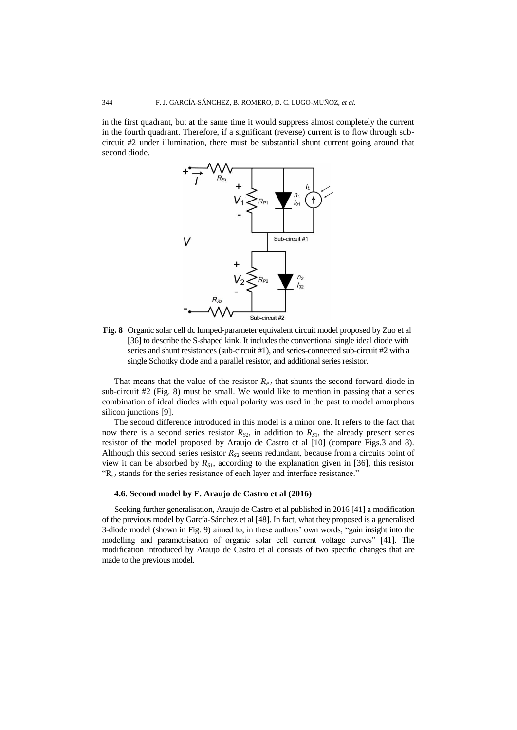in the first quadrant, but at the same time it would suppress almost completely the current in the fourth quadrant. Therefore, if a significant (reverse) current is to flow through subcircuit #2 under illumination, there must be substantial shunt current going around that second diode.



**Fig. 8** Organic solar cell dc lumped-parameter equivalent circuit model proposed by Zuo et al [36] to describe the S-shaped kink. It includes the conventional single ideal diode with series and shunt resistances (sub-circuit #1), and series-connected sub-circuit #2 with a single Schottky diode and a parallel resistor, and additional series resistor.

That means that the value of the resistor  $R_{P2}$  that shunts the second forward diode in sub-circuit  $#2$  (Fig. 8) must be small. We would like to mention in passing that a series combination of ideal diodes with equal polarity was used in the past to model amorphous silicon junctions [9].

The second difference introduced in this model is a minor one. It refers to the fact that now there is a second series resistor  $R_{S2}$ , in addition to  $R_{S1}$ , the already present series resistor of the model proposed by Araujo de Castro et al [10] (compare Figs.3 and 8). Although this second series resistor  $R_{S2}$  seems redundant, because from a circuits point of view it can be absorbed by  $R_{S1}$ , according to the explanation given in [36], this resistor  $R_{s2}$  stands for the series resistance of each layer and interface resistance."

### **4.6. Second model by F. Araujo de Castro et al (2016)**

Seeking further generalisation, Araujo de Castro et al published in 2016 [41] a modification of the previous model by García-Sánchez et al [48]. In fact, what they proposed is a generalised 3-diode model (shown in Fig. 9) aimed to, in these authors' own words, "gain insight into the modelling and parametrisation of organic solar cell current voltage curves" [41]. The modification introduced by Araujo de Castro et al consists of two specific changes that are made to the previous model.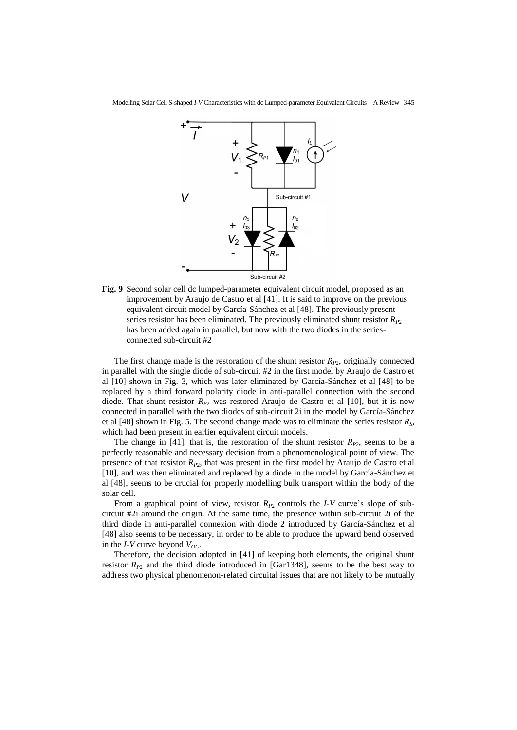

**Fig. 9** Second solar cell dc lumped-parameter equivalent circuit model, proposed as an improvement by Araujo de Castro et al [41]. It is said to improve on the previous equivalent circuit model by García-Sánchez et al [48]. The previously present series resistor has been eliminated. The previously eliminated shunt resistor  $R_{P2}$ has been added again in parallel, but now with the two diodes in the seriesconnected sub-circuit #2

The first change made is the restoration of the shunt resistor  $R_{P2}$ , originally connected in parallel with the single diode of sub-circuit #2 in the first model by Araujo de Castro et al [10] shown in Fig. 3, which was later eliminated by García-Sánchez et al [48] to be replaced by a third forward polarity diode in anti-parallel connection with the second diode. That shunt resistor  $R_{p2}$  was restored Araujo de Castro et al [10], but it is now connected in parallel with the two diodes of sub-circuit 2i in the model by García-Sánchez et al [48] shown in Fig. 5. The second change made was to eliminate the series resistor *RS*, which had been present in earlier equivalent circuit models.

The change in [41], that is, the restoration of the shunt resistor  $R_{P2}$ , seems to be a perfectly reasonable and necessary decision from a phenomenological point of view. The presence of that resistor  $R_{P2}$ , that was present in the first model by Araujo de Castro et al [10], and was then eliminated and replaced by a diode in the model by García-Sánchez et al [48], seems to be crucial for properly modelling bulk transport within the body of the solar cell.

From a graphical point of view, resistor  $R_{P2}$  controls the *I-V* curve's slope of subcircuit #2i around the origin. At the same time, the presence within sub-circuit 2i of the third diode in anti-parallel connexion with diode 2 introduced by García-Sánchez et al [48] also seems to be necessary, in order to be able to produce the upward bend observed in the *I-V* curve beyond *VOC*.

Therefore, the decision adopted in [41] of keeping both elements, the original shunt resistor  $R_{P2}$  and the third diode introduced in [Gar1348], seems to be the best way to address two physical phenomenon-related circuital issues that are not likely to be mutually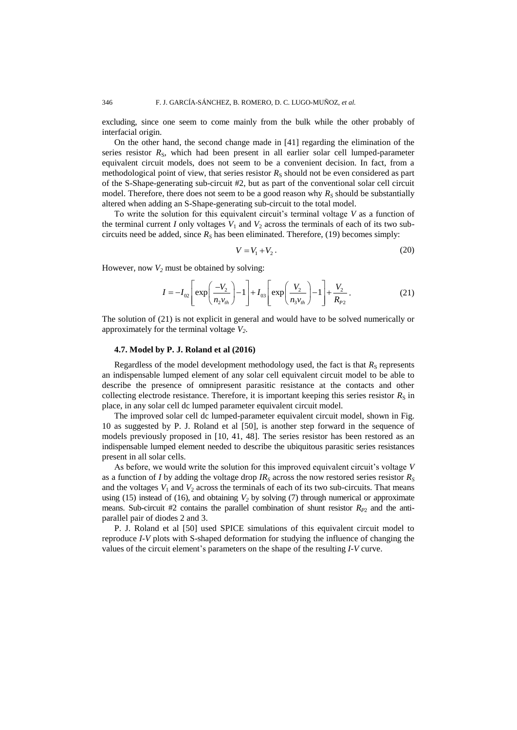excluding, since one seem to come mainly from the bulk while the other probably of interfacial origin.

On the other hand, the second change made in [41] regarding the elimination of the series resistor  $R<sub>S</sub>$ , which had been present in all earlier solar cell lumped-parameter equivalent circuit models, does not seem to be a convenient decision. In fact, from a methodological point of view, that series resistor  $R<sub>S</sub>$  should not be even considered as part of the S-Shape-generating sub-circuit #2, but as part of the conventional solar cell circuit model. Therefore, there does not seem to be a good reason why  $R<sub>S</sub>$  should be substantially altered when adding an S-Shape-generating sub-circuit to the total model.

To write the solution for this equivalent circuit's terminal voltage *V* as a function of the terminal current *I* only voltages  $V_1$  and  $V_2$  across the terminals of each of its two subcircuits need be added, since  $R<sub>S</sub>$  has been eliminated. Therefore, (19) becomes simply:

$$
V = V_1 + V_2. \tag{20}
$$

However, now  $V_2$  must be obtained by solving:

$$
I = -I_{02} \left[ \exp\left(\frac{-V_2}{n_2 v_{th}}\right) - 1 \right] + I_{03} \left[ \exp\left(\frac{V_2}{n_3 v_{th}}\right) - 1 \right] + \frac{V_2}{R_{P2}}.
$$
 (21)

The solution of (21) is not explicit in general and would have to be solved numerically or approximately for the terminal voltage *V2*.

## **4.7. Model by P. J. Roland et al (2016)**

Regardless of the model development methodology used, the fact is that  $R<sub>S</sub>$  represents an indispensable lumped element of any solar cell equivalent circuit model to be able to describe the presence of omnipresent parasitic resistance at the contacts and other collecting electrode resistance. Therefore, it is important keeping this series resistor  $R<sub>S</sub>$  in place, in any solar cell dc lumped parameter equivalent circuit model.

The improved solar cell dc lumped-parameter equivalent circuit model, shown in Fig. 10 as suggested by P. J. Roland et al [50], is another step forward in the sequence of models previously proposed in [10, 41, 48]. The series resistor has been restored as an indispensable lumped element needed to describe the ubiquitous parasitic series resistances present in all solar cells.

As before, we would write the solution for this improved equivalent circuit's voltage *V* as a function of *I* by adding the voltage drop  $IR<sub>S</sub>$  across the now restored series resistor  $R<sub>S</sub>$ and the voltages  $V_1$  and  $V_2$  across the terminals of each of its two sub-circuits. That means using (15) instead of (16), and obtaining  $V_2$  by solving (7) through numerical or approximate means. Sub-circuit #2 contains the parallel combination of shunt resistor  $R_{P2}$  and the antiparallel pair of diodes 2 and 3.

P. J. Roland et al [50] used SPICE simulations of this equivalent circuit model to reproduce *I-V* plots with S-shaped deformation for studying the influence of changing the values of the circuit element's parameters on the shape of the resulting *I-V* curve.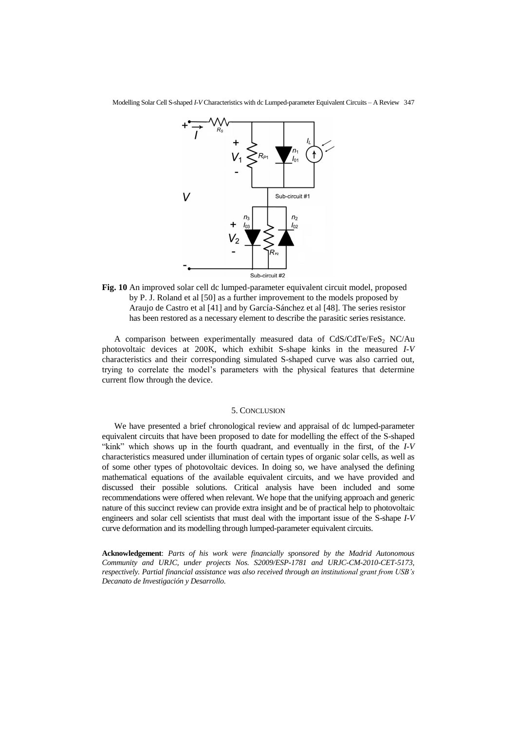

**Fig. 10** An improved solar cell dc lumped-parameter equivalent circuit model, proposed by P. J. Roland et al [50] as a further improvement to the models proposed by Araujo de Castro et al [41] and by García-Sánchez et al [48]. The series resistor has been restored as a necessary element to describe the parasitic series resistance.

A comparison between experimentally measured data of  $CdS/CdTe/FeS<sub>2</sub> NC/Au$ photovoltaic devices at 200K, which exhibit S-shape kinks in the measured *I-V* characteristics and their corresponding simulated S-shaped curve was also carried out, trying to correlate the model's parameters with the physical features that determine current flow through the device.

#### 5. CONCLUSION

We have presented a brief chronological review and appraisal of dc lumped-parameter equivalent circuits that have been proposed to date for modelling the effect of the S-shaped "kink" which shows up in the fourth quadrant, and eventually in the first, of the *I-V* characteristics measured under illumination of certain types of organic solar cells, as well as of some other types of photovoltaic devices. In doing so, we have analysed the defining mathematical equations of the available equivalent circuits, and we have provided and discussed their possible solutions. Critical analysis have been included and some recommendations were offered when relevant. We hope that the unifying approach and generic nature of this succinct review can provide extra insight and be of practical help to photovoltaic engineers and solar cell scientists that must deal with the important issue of the S-shape *I-V* curve deformation and its modelling through lumped-parameter equivalent circuits.

**Acknowledgement**: *Parts of his work were financially sponsored by the Madrid Autonomous Community and URJC, under projects Nos. S2009/ESP-1781 and URJC-CM-2010-CET-5173, respectively. Partial financial assistance was also received through an institutional grant from USB's Decanato de Investigación y Desarrollo.*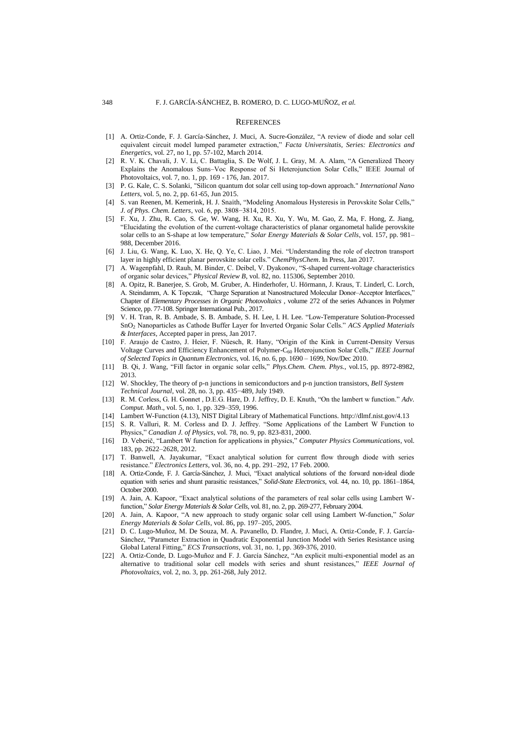#### **REFERENCES**

- [1] A. Ortiz-Conde, F. J. García-Sánchez, J. Muci, A. Sucre-González, "A review of diode and solar cell equivalent circuit model lumped parameter extraction," *Facta Universitatis, Series: Electronics and Energetic*s, vol. 27, no 1, pp. 57-102, March 2014.
- [2] R. V. K. Chavali, J. V. Li, C. Battaglia, S. De Wolf, J. L. Gray, M. A. Alam, "A Generalized Theory Explains the Anomalous Suns–Voc Response of Si Heterojunction Solar Cells," IEEE Journal of Photovoltaics, vol. 7, no. 1, pp. 169 - 176, Jan. 2017.
- [3] P. G. Kale, C. S. Solanki, "Silicon quantum dot solar cell using top-down approach." *International Nano Letters*, vol. 5, no. 2, pp. 61-65, Jun 2015.
- [4] S. van Reenen, M. Kemerink, H. J. Snaith, "Modeling Anomalous Hysteresis in Perovskite Solar Cells," *J. of Phys. Chem. Letters*, vol. 6, pp. 3808−3814, 2015.
- [5] F. Xu, J. Zhu, R. Cao, S. Ge, W. Wang, H. Xu, R. Xu, Y. Wu, M. Gao, Z. Ma, F. Hong, Z. Jiang, "Elucidating the evolution of the current-voltage characteristics of planar organometal halide perovskite solar cells to an S-shape at low temperature," *Solar Energy Materials & Solar Cells*, vol. 157, pp. 981– 988, December 2016.
- [6] J. Liu, G. Wang, K. Luo, X. He, Q. Ye, C. Liao, J. Mei. "Understanding the role of electron transport layer in highly efficient planar perovskite solar cells." *ChemPhysChem*. In Press, Jan 2017.
- [7] A. Wagenpfahl, D. Rauh, M. Binder, C. Deibel, V. Dyakonov, "S-shaped current-voltage characteristics of organic solar devices," *Physical Review B*, vol. 82, no. 115306, September 2010.
- [8] A. Opitz, R. Banerjee, S. Grob, M. Gruber, A. Hinderhofer, U. Hörmann, J. Kraus, T. Linderl, C. Lorch, A. Steindamm, A. K Topczak, "Charge Separation at Nanostructured Molecular Donor–Acceptor Interfaces," Chapter of *Elementary Processes in Organic Photovoltaics* , volume 272 of the series Advances in Polymer Science, pp. 77-108. Springer International Pub., 2017.
- [9] V. H. Tran, R. B. Ambade, S. B. Ambade, S. H. Lee, I. H. Lee. "Low-Temperature Solution-Processed SnO<sup>2</sup> Nanoparticles as Cathode Buffer Layer for Inverted Organic Solar Cells." *ACS Applied Materials & Interfaces*, Accepted paper in press, Jan 2017.
- [10] F. Araujo de Castro, J. Heier, F. Nüesch, R. Hany, "Origin of the Kink in Current-Density Versus Voltage Curves and Efficiency Enhancement of Polymer-C<sup>60</sup> Heterojunction Solar Cells," *IEEE Journal of Selected Topics in Quantum Electronics*, vol. 16, no. 6, pp. 1690 – 1699, Nov/Dec 2010.
- [11] B. Qi, J. Wang, "Fill factor in organic solar cells," *Phys.Chem. Chem. Phys.,* vol.15, pp. 8972-8982, 2013.
- [12] W. Shockley, The theory of p-n junctions in semiconductors and p-n junction transistors, *Bell System Technical Journal*, vol. 28, no. 3, pp. 435−489, July 1949.
- [13] R. M. Corless, G. H. Gonnet , D.E.G. Hare, D. J. Jeffrey, D. E. Knuth, "On the lambert w function." *Adv. Comput. Math*., vol. 5, no. 1, pp. 329–359, 1996.
- [14] Lambert W-Function (4.13), NIST Digital Library of Mathematical Functions.<http://dlmf.nist.gov/4.13>
- [15] S. R. Valluri, R. M. Corless and D. J. Jeffrey. "Some Applications of the Lambert W Function to Physics," *Canadian J. of Physics*, vol. 78, no. 9, pp. 823-831, 2000.
- [16] D. Veberič, "Lambert W function for applications in physics," *Computer Physics Communications*, vol. 183, pp. 2622–2628, 2012.
- [17] T. Banwell, A. Jayakumar, "Exact analytical solution for current flow through diode with series resistance." *Electronics Letters*, vol. 36, no. 4, pp. 291–292, 17 Feb. 2000.
- [18] A. Ortiz-Conde, F. J. García-Sánchez, J. Muci, "Exact analytical solutions of the forward non-ideal diode equation with series and shunt parasitic resistances," *Solid-State Electronics*, vol. 44, no. 10, pp. 1861–1864, October 2000.
- [19] A. Jain, A. Kapoor, "Exact analytical solutions of the parameters of real solar cells using Lambert Wfunction," *Solar Energy Materials & Solar Cells*, vol. 81, no. 2, pp. 269-277, February 2004.
- [20] A. Jain, A. Kapoor, "A new approach to study organic solar cell using Lambert W-function," *Solar Energy Materials & Solar Cells*, vol. 86, pp. 197–205, 2005.
- [21] D. C. Lugo-Muñoz, M. De Souza, M. A. Pavanello, D. Flandre, J. Muci, A. Ortiz-Conde, F. J. García-Sánchez, "Parameter Extraction in Quadratic Exponential Junction Model with Series Resistance using Global Lateral Fitting," *ECS Transactions*, vol. 31, no. 1, pp. 369-376, 2010.
- [22] A. Ortiz-Conde, D. Lugo-Muñoz and F. J. García Sánchez, "An explicit multi-exponential model as an alternative to traditional solar cell models with series and shunt resistances," *IEEE Journal of Photovoltaics*, vol. 2, no. 3, pp. 261-268, July 2012.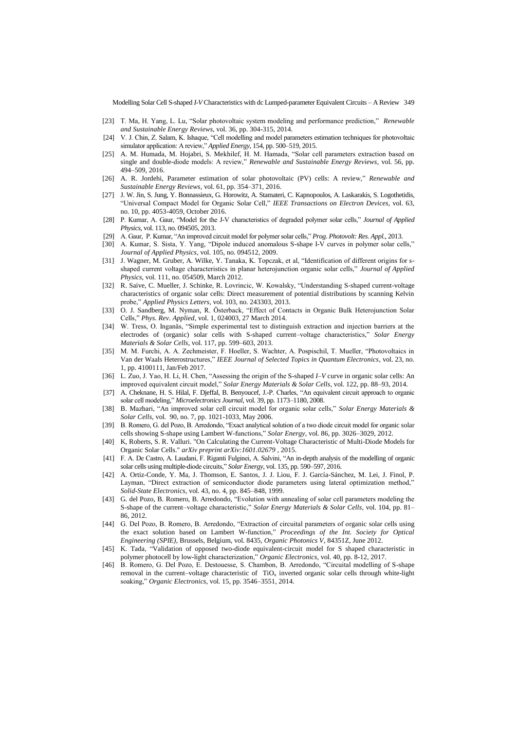Modelling Solar Cell S-shaped *I-V* Characteristics with dc Lumped-parameter Equivalent Circuits – A Review 349

- [23] T. Ma, H. Yang, L. Lu, "Solar photovoltaic system modeling and performance prediction," *Renewable and Sustainable Energy Reviews*, vol. 36, pp. 304-315, 2014.
- [24] V. J. Chin, Z. Salam, K. Ishaque, "Cell modelling and model parameters estimation techniques for photovoltaic simulator application: A review," *Applied Energy*, 154, pp. 500–519, 2015.
- [25] A. M. Humada, M. Hojabri, S. Mekhilef, H. M. Hamada, "Solar cell parameters extraction based on single and double-diode models: A review," *Renewable and Sustainable Energy Reviews*, vol. 56, pp. 494–509, 2016.
- [26] A. R. Jordehi, Parameter estimation of solar photovoltaic (PV) cells: A review," *Renewable and Sustainable Energy Reviews*, vol. 61, pp. 354–371, 2016.
- [27] J. W. Jin, S. Jung, Y. Bonnassieux, G. Horowitz, A. Stamateri, C. Kapnopoulos, A. Laskarakis, S. Logothetidis, "Universal Compact Model for Organic Solar Cell," *IEEE Transactions on Electron Devices*, vol. 63, no. 10, pp. 4053-4059, October 2016.
- [28] P. Kumar, A. Gaur, "Model for the J-V characteristics of degraded polymer solar cells," *Journal of Applied Physics*, vol. 113, no. 094505, 2013.
- [29] A. Gaur, P. Kumar, "An improved circuit model for polymer solar cells," *Prog. Photovolt: Res. Appl.*, 2013.
- [30] A. Kumar, S. Sista, Y. Yang, "Dipole induced anomalous S-shape I-V curves in polymer solar cells," *Journal of Applied Physics*, vol. 105, no. 094512, 2009.
- [31] J. Wagner, M. Gruber, A. Wilke, Y. Tanaka, K. Topczak, et al, "Identification of different origins for sshaped current voltage characteristics in planar heterojunction organic solar cells," *Journal of Applied Physics*, vol. 111, no. 054509, March 2012.
- [32] R. Saive, C. Mueller, J. Schinke, R. Lovrincic, W. Kowalsky, "Understanding S-shaped current-voltage characteristics of organic solar cells: Direct measurement of potential distributions by scanning Kelvin probe," *Applied Physics Letters*, vol. 103, no. 243303, 2013.
- [33] O. J. Sandberg, M. Nyman, R. Österback, "Effect of Contacts in Organic Bulk Heterojunction Solar Cells," *Phys. Rev. Applied*, vol. 1, 024003, 27 March 2014.
- [34] W. Tress, O. Inganäs, "Simple experimental test to distinguish extraction and injection barriers at the electrodes of (organic) solar cells with S-shaped current–voltage characteristics," *Solar Energy Materials & Solar Cells*, vol. 117, pp. 599–603, 2013.
- [35] M. M. Furchi, A. A. Zechmeister, F. Hoeller, S. Wachter, A. Pospischil, T. Mueller, "Photovoltaics in Van der Waals Heterostructures," *IEEE Journal of Selected Topics in Quantum Electronics*, vol. 23, no. 1, pp. 4100111, Jan/Feb 2017.
- [36] L. Zuo, J. Yao, H. Li, H. Chen, "Assessing the origin of the S-shaped *I–V* curve in organic solar cells: An improved equivalent circuit model," *Solar Energy Materials & Solar Cells*, vol. 122, pp. 88–93, 2014.
- [37] A. Cheknane, H. S. Hilal, F. Djeffal, B. Benyoucef, J.-P. Charles, "An equivalent circuit approach to organic solar cell modeling," *Microelectronics Journal*, vol. 39, pp. 1173–1180, 2008.
- [38] B. Mazhari, "An improved solar cell circuit model for organic solar cells," *Solar Energy Materials & Solar Cells*, vol. 90, no. 7, pp. 1021-1033, May 2006.
- [39] B. Romero, G. del Pozo, B. Arredondo, "Exact analytical solution of a two diode circuit model for organic solar cells showing S-shape using Lambert W-functions," *Solar Energy*, vol. 86, pp. 3026–3029, 2012.
- [40] K, Roberts, S. R. Valluri. "On Calculating the Current-Voltage Characteristic of Multi-Diode Models for Organic Solar Cells." *arXiv preprint arXiv:1601.02679* , 2015.
- [41] F. A. De Castro, A. Laudani, F. Riganti Fulginei, A. Salvini, "An in-depth analysis of the modelling of organic solar cells using multiple-diode circuits," *Solar Energy*, vol. 135, pp. 590–597, 2016.
- [42] A. Ortiz-Conde, Y. Ma, J. Thomson, E. Santos, J. J. Liou, F. J. García-Sánchez, M. Lei, J. Finol, P. Layman, "Direct extraction of semiconductor diode parameters using lateral optimization method," *Solid-State Electronics*, vol. 43, no. 4, pp. 845–848, 1999.
- [43] G. del Pozo, B. Romero, B. Arredondo, "Evolution with annealing of solar cell parameters modeling the S-shape of the current–voltage characteristic," *Solar Energy Materials & Solar Cells*, vol. 104, pp. 81– 86, 2012.
- [44] G. Del Pozo, B. Romero, B. Arredondo, "Extraction of circuital parameters of organic solar cells using the exact solution based on Lambert W-function," *Proceedings of the Int. Society for Optical Engineering (SPIE)*, Brussels, Belgium, vol. 8435, *Organic Photonics V*, 84351Z, June 2012.
- [45] K. Tada, "Validation of opposed two-diode equivalent-circuit model for S shaped characteristic in polymer photocell by low-light characterization," *Organic Electronics*, vol. 40, pp. 8-12, 2017.
- [46] B. Romero, G. Del Pozo, E. Destouesse, S. Chambon, B. Arredondo, "Circuital modelling of S-shape removal in the current–voltage characteristic of  $TiO<sub>x</sub>$  inverted organic solar cells through white-light soaking," *Organic Electronics*, vol. 15, pp. 3546–3551, 2014.